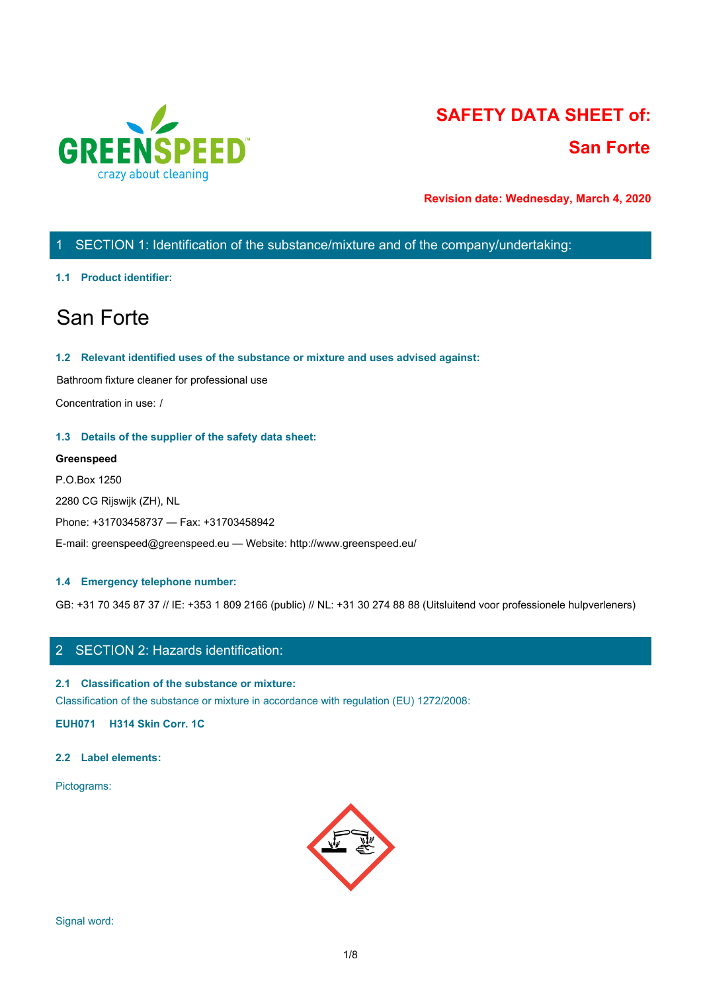

# **SAFETY DATA SHEET of: San Forte**

**Revision date: Wednesday, March 4, 2020**

## 1 SECTION 1: Identification of the substance/mixture and of the company/undertaking:

#### **1.1 Product identifier:**

## San Forte

#### **1.2 Relevant identified uses of the substance or mixture and uses advised against:**

Bathroom fixture cleaner for professional use

Concentration in use: /

#### **1.3 Details of the supplier of the safety data sheet:**

#### **Greenspeed**

P.O.Box 1250 2280 CG Rijswijk (ZH), NL Phone: +31703458737 — Fax: +31703458942 E-mail: greenspeed@greenspeed.eu — Website: http://www.greenspeed.eu/

#### **1.4 Emergency telephone number:**

GB: +31 70 345 87 37 // IE: +353 1 809 2166 (public) // NL: +31 30 274 88 88 (Uitsluitend voor professionele hulpverleners)

## 2 SECTION 2: Hazards identification:

#### **2.1 Classification of the substance or mixture:**

Classification of the substance or mixture in accordance with regulation (EU) 1272/2008:

**EUH071 H314 Skin Corr. 1C**

#### **2.2 Label elements:**

Pictograms:

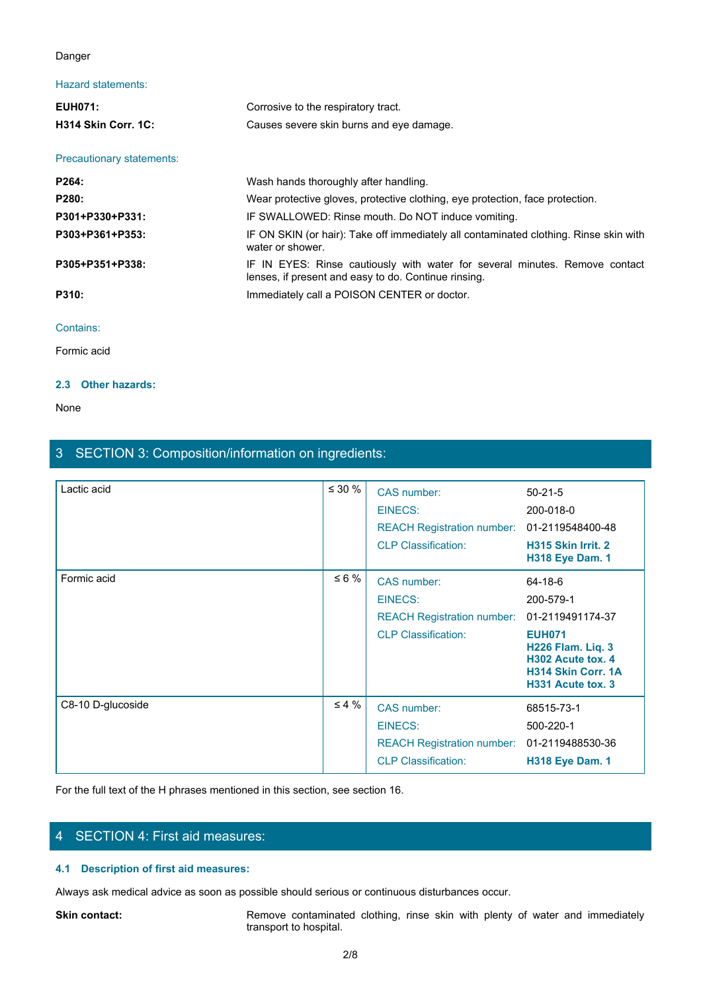#### Danger

### Hazard statements:

| Danger                    |                                                                                                                                     |
|---------------------------|-------------------------------------------------------------------------------------------------------------------------------------|
| Hazard statements:        |                                                                                                                                     |
| <b>EUH071:</b>            | Corrosive to the respiratory tract.                                                                                                 |
| H314 Skin Corr. 1C:       | Causes severe skin burns and eye damage.                                                                                            |
| Precautionary statements: |                                                                                                                                     |
| P264:                     | Wash hands thoroughly after handling.                                                                                               |
| P280:                     | Wear protective gloves, protective clothing, eye protection, face protection.                                                       |
| P301+P330+P331:           | IF SWALLOWED: Rinse mouth. Do NOT induce vomiting.                                                                                  |
| P303+P361+P353:           | IF ON SKIN (or hair): Take off immediately all contaminated clothing. Rinse skin with<br>water or shower.                           |
| P305+P351+P338:           | IF IN EYES: Rinse cautiously with water for several minutes. Remove contact<br>lenses, if present and easy to do. Continue rinsing. |
| P310:                     | Immediately call a POISON CENTER or doctor.                                                                                         |
| Contains:                 |                                                                                                                                     |
| Formic acid               |                                                                                                                                     |

#### Contains:

Formic acid

#### **2.3 Other hazards:**

None with the contract of the contract of the contract of the contract of the contract of the contract of the contract of the contract of the contract of the contract of the contract of the contract of the contract of the

| Lactic acid                                                                                                       | $\leq 30 \%$           | CAS number:                                                                   | $50 - 21 - 5$                                                                                      |
|-------------------------------------------------------------------------------------------------------------------|------------------------|-------------------------------------------------------------------------------|----------------------------------------------------------------------------------------------------|
|                                                                                                                   |                        | <b>EINECS:</b>                                                                | 200-018-0                                                                                          |
|                                                                                                                   |                        | <b>REACH Registration number:</b>                                             | 01-2119548400-48                                                                                   |
|                                                                                                                   |                        | <b>CLP Classification:</b>                                                    | H315 Skin Irrit. 2<br><b>H318 Eye Dam. 1</b>                                                       |
| Formic acid                                                                                                       | $\leq 6 \%$            | CAS number:                                                                   | 64-18-6                                                                                            |
|                                                                                                                   |                        | <b>EINECS:</b>                                                                | 200-579-1                                                                                          |
|                                                                                                                   |                        | <b>REACH Registration number:</b>                                             | 01-2119491174-37                                                                                   |
|                                                                                                                   |                        | <b>CLP Classification:</b>                                                    | <b>EUH071</b><br>H226 Flam. Liq. 3<br>H302 Acute tox. 4<br>H314 Skin Corr. 1A<br>H331 Acute tox. 3 |
| C8-10 D-glucoside                                                                                                 | $\leq 4 \%$            | CAS number:                                                                   | 68515-73-1                                                                                         |
|                                                                                                                   |                        | <b>EINECS:</b>                                                                | 500-220-1                                                                                          |
|                                                                                                                   |                        | <b>REACH Registration number:</b>                                             | 01-2119488530-36                                                                                   |
|                                                                                                                   |                        | <b>CLP Classification:</b>                                                    | <b>H318 Eye Dam. 1</b>                                                                             |
| For the full text of the H phrases mentioned in this section, see section 16.<br>4 SECTION 4: First aid measures: |                        |                                                                               |                                                                                                    |
| 4.1 Description of first aid measures:                                                                            |                        |                                                                               |                                                                                                    |
| Always ask medical advice as soon as possible should serious or continuous disturbances occur.                    |                        |                                                                               |                                                                                                    |
| Skin contact:                                                                                                     | transport to hospital. | Remove contaminated clothing, rinse skin with plenty of water and immediately |                                                                                                    |
|                                                                                                                   | 2/8                    |                                                                               |                                                                                                    |
|                                                                                                                   |                        |                                                                               |                                                                                                    |
|                                                                                                                   |                        |                                                                               |                                                                                                    |

3 SECTION 3: Composition/information on ingredients:

## 4 SECTION 4: First aid measures:

#### **4.1 Description of first aid measures:**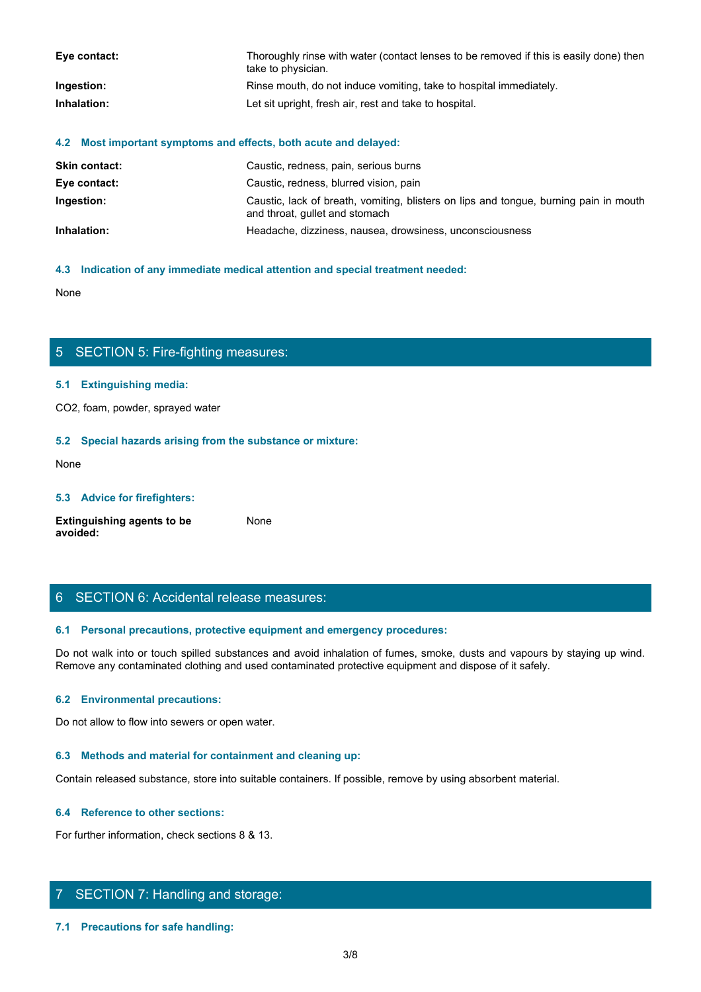| Eye contact: | Thoroughly rinse with water (contact lenses to be removed if this is easily done) then<br>take to physician. |
|--------------|--------------------------------------------------------------------------------------------------------------|
| Ingestion:   | Rinse mouth, do not induce vomiting, take to hospital immediately.                                           |
| Inhalation:  | Let sit upright, fresh air, rest and take to hospital.                                                       |

#### **4.2 Most important symptoms and effects, both acute and delayed:**

| <b>Skin contact:</b> | Caustic, redness, pain, serious burns                                                                                   |
|----------------------|-------------------------------------------------------------------------------------------------------------------------|
| Eye contact:         | Caustic, redness, blurred vision, pain                                                                                  |
| Ingestion:           | Caustic, lack of breath, vomiting, blisters on lips and tongue, burning pain in mouth<br>and throat, gullet and stomach |
| Inhalation:          | Headache, dizziness, nausea, drowsiness, unconsciousness                                                                |

#### **4.3 Indication of any immediate medical attention and special treatment needed:**

None with the contract of the contract of the contract of the contract of the contract of the contract of the contract of the contract of the contract of the contract of the contract of the contract of the contract of the

### 5 SECTION 5: Fire-fighting measures:

#### **5.1 Extinguishing media:**

CO2, foam, powder, sprayed water

#### **5.2 Special hazards arising from the substance or mixture:**

None with the contract of the contract of the contract of the contract of the contract of the contract of the contract of the contract of the contract of the contract of the contract of the contract of the contract of the

#### **5.3 Advice for firefighters:**

| <b>Extinguishing agents to be</b> | None |
|-----------------------------------|------|
| avoided:                          |      |

#### 6 SECTION 6: Accidental release measures:

#### **6.1 Personal precautions, protective equipment and emergency procedures:**

Do not walk into or touch spilled substances and avoid inhalation of fumes, smoke, dusts and vapours by staying up wind. Remove any contaminated clothing and used contaminated protective equipment and dispose of it safely.

#### **6.2 Environmental precautions:**

Do not allow to flow into sewers or open water.

#### **6.3 Methods and material for containment and cleaning up:**

Contain released substance, store into suitable containers. If possible, remove by using absorbent material.

#### **6.4 Reference to other sections:**

For further information, check sections 8 & 13.

#### 7 SECTION 7: Handling and storage:

**7.1 Precautions for safe handling:**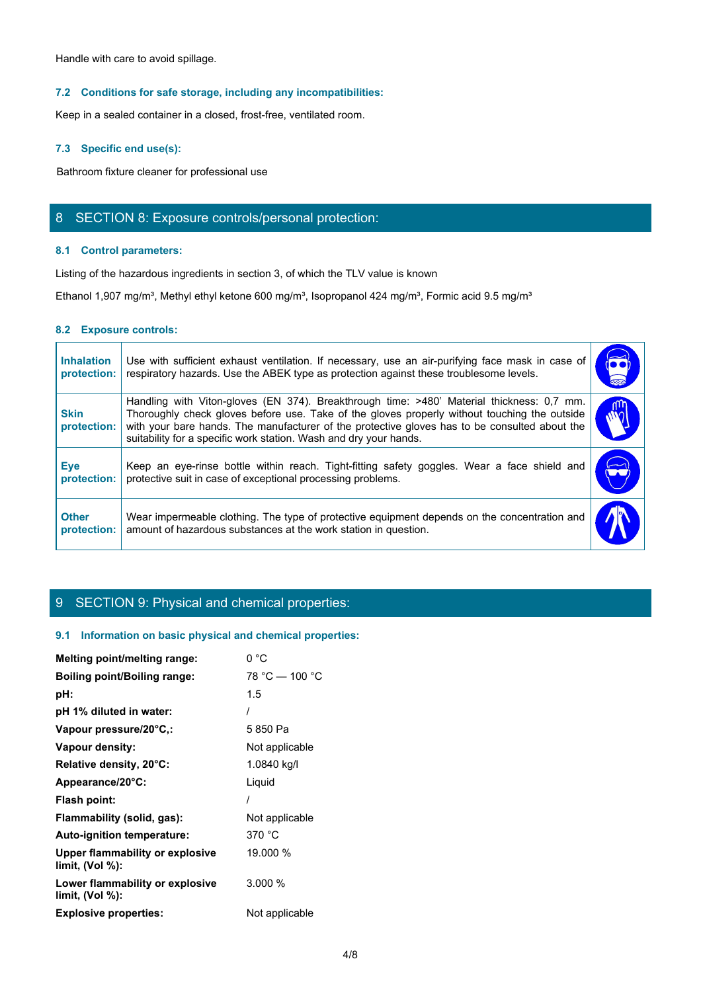#### **7.2 Conditions for safe storage, including any incompatibilities:**

#### **7.3 Specific end use(s):**

## 8 SECTION 8: Exposure controls/personal protection:

#### **8.1 Control parameters:**

#### **8.2 Exposure controls:**

| Handle with care to avoid spillage.                                                                                                                                                                                                                                                                                                                                                           |
|-----------------------------------------------------------------------------------------------------------------------------------------------------------------------------------------------------------------------------------------------------------------------------------------------------------------------------------------------------------------------------------------------|
| 7.2 Conditions for safe storage, including any incompatibilities:                                                                                                                                                                                                                                                                                                                             |
| Keep in a sealed container in a closed, frost-free, ventilated room.                                                                                                                                                                                                                                                                                                                          |
| 7.3 Specific end use(s):                                                                                                                                                                                                                                                                                                                                                                      |
| Bathroom fixture cleaner for professional use                                                                                                                                                                                                                                                                                                                                                 |
| 8 SECTION 8: Exposure controls/personal protection:                                                                                                                                                                                                                                                                                                                                           |
| 8.1 Control parameters:                                                                                                                                                                                                                                                                                                                                                                       |
| Listing of the hazardous ingredients in section 3, of which the TLV value is known                                                                                                                                                                                                                                                                                                            |
| Ethanol 1,907 mg/m <sup>3</sup> , Methyl ethyl ketone 600 mg/m <sup>3</sup> , Isopropanol 424 mg/m <sup>3</sup> , Formic acid 9.5 mg/m <sup>3</sup>                                                                                                                                                                                                                                           |
| 8.2 Exposure controls:                                                                                                                                                                                                                                                                                                                                                                        |
| Use with sufficient exhaust ventilation. If necessary, use an air-purifying face mask in case of<br><b>Inhalation</b><br>respiratory hazards. Use the ABEK type as protection against these troublesome levels.<br>protection:                                                                                                                                                                |
| Handling with Viton-gloves (EN 374). Breakthrough time: >480' Material thickness: 0,7 mm.<br>Thoroughly check gloves before use. Take of the gloves properly without touching the outside<br><b>Skin</b><br>with your bare hands. The manufacturer of the protective gloves has to be consulted about the<br>protection:<br>suitability for a specific work station. Wash and dry your hands. |
| Keep an eye-rinse bottle within reach. Tight-fitting safety goggles. Wear a face shield and<br><b>Eye</b><br>UÙ)<br>protective suit in case of exceptional processing problems.<br>protection:                                                                                                                                                                                                |
| Wear impermeable clothing. The type of protective equipment depends on the concentration and<br><b>Other</b><br>amount of hazardous substances at the work station in question.<br>protection:                                                                                                                                                                                                |

## 9 SECTION 9: Physical and chemical properties:

#### **9.1 Information on basic physical and chemical properties:**

| Melting point/melting range:                          | 0 °C             |
|-------------------------------------------------------|------------------|
| <b>Boiling point/Boiling range:</b>                   | $78 °C - 100 °C$ |
| pH:                                                   | 1.5              |
| pH 1% diluted in water:                               |                  |
| Vapour pressure/20°C,:                                | 5850 Pa          |
| Vapour density:                                       | Not applicable   |
| Relative density, 20°C:                               | 1.0840 kg/l      |
| Appearance/20°C:                                      | Liquid           |
| Flash point:                                          |                  |
| Flammability (solid, gas):                            | Not applicable   |
| Auto-ignition temperature:                            | 370 °C           |
| Upper flammability or explosive<br>limit, $(Vol %)$ : | 19.000 %         |
| Lower flammability or explosive<br>limit, $(Vol %)$ : | 3.000%           |
| <b>Explosive properties:</b>                          | Not applicable   |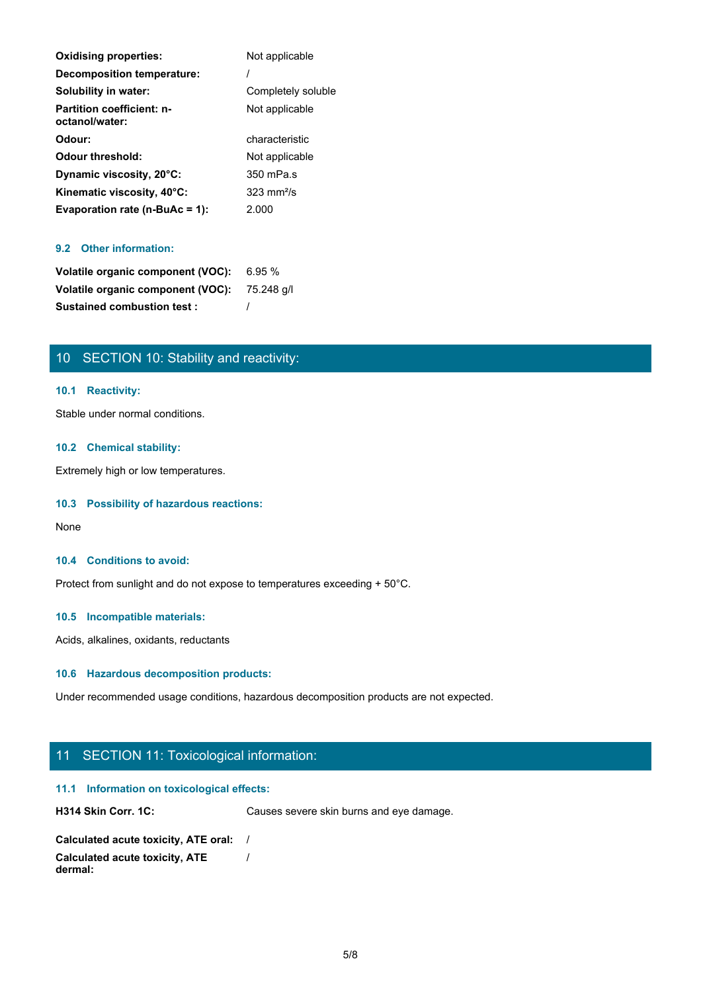| <b>Oxidising properties:</b>                       | Not applicable        |
|----------------------------------------------------|-----------------------|
| Decomposition temperature:                         |                       |
| Solubility in water:                               | Completely soluble    |
| <b>Partition coefficient: n-</b><br>octanol/water: | Not applicable        |
| Odour:                                             | characteristic        |
| <b>Odour threshold:</b>                            | Not applicable        |
| Dynamic viscosity, 20°C:                           | 350 mPa.s             |
| Kinematic viscosity, 40°C:                         | $323 \text{ mm}^2$ /s |
| Evaporation rate ( $n$ -BuAc = 1):                 | 2.000                 |

#### **9.2 Other information:**

| Volatile organic component (VOC): 6.95 %     |  |
|----------------------------------------------|--|
| Volatile organic component (VOC): 75.248 g/l |  |
| <b>Sustained combustion test:</b>            |  |

## 10 SECTION 10: Stability and reactivity:

#### **10.1 Reactivity:**

Stable under normal conditions.

#### **10.2 Chemical stability:**

Extremely high or low temperatures.

#### **10.3 Possibility of hazardous reactions:**

None with the contract of the contract of the contract of the contract of the contract of the contract of the contract of the contract of the contract of the contract of the contract of the contract of the contract of the

#### **10.4 Conditions to avoid:**

Protect from sunlight and do not expose to temperatures exceeding + 50°C.

#### **10.5 Incompatible materials:**

Acids, alkalines, oxidants, reductants

#### **10.6 Hazardous decomposition products:**

Under recommended usage conditions, hazardous decomposition products are not expected.

## 11 SECTION 11: Toxicological information:

#### **11.1 Information on toxicological effects:**

H314 Skin Corr. 1C: Causes severe skin burns and eye damage.

| Calculated acute toxicity, ATE oral: |  |
|--------------------------------------|--|
| Calculated acute toxicity, ATE       |  |
| dermal:                              |  |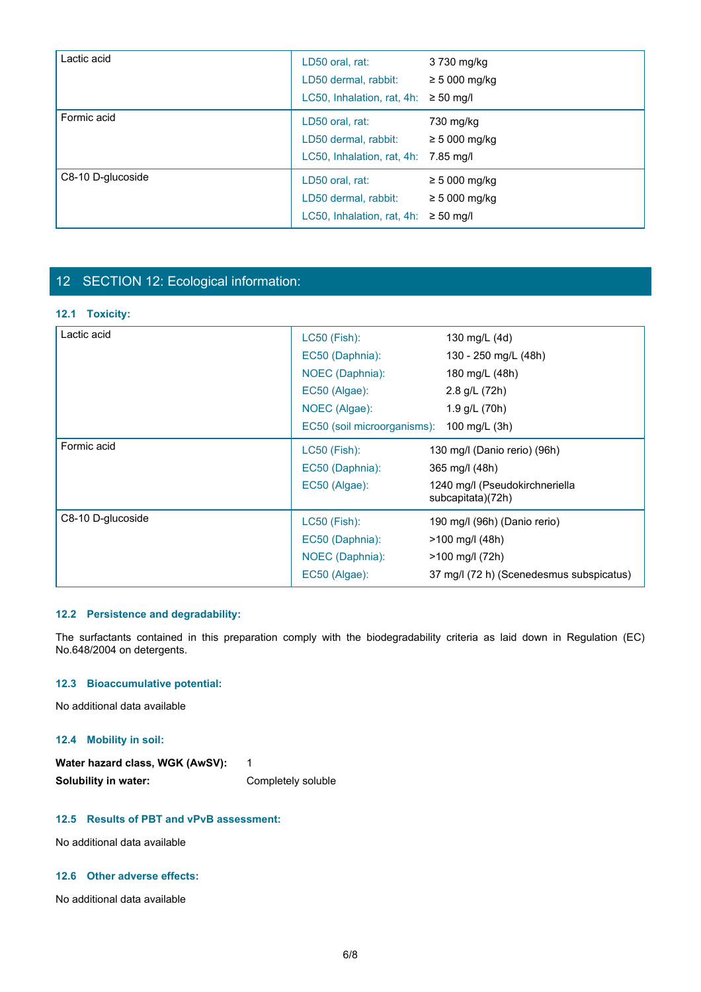| Lactic acid       | LD50 oral, rat:<br>LD50 dermal, rabbit:<br>LC50, Inhalation, rat, 4h:                   | 3 730 mg/kg<br>$\geq$ 5 000 mg/kg<br>$\geq 50$ mg/l |
|-------------------|-----------------------------------------------------------------------------------------|-----------------------------------------------------|
| Formic acid       | LD50 oral, rat:<br>LD50 dermal, rabbit:<br>LC50, Inhalation, rat, 4h: 7.85 mg/l         | 730 mg/kg<br>$\geq$ 5 000 mg/kg                     |
| C8-10 D-glucoside | LD50 oral, rat:<br>LD50 dermal, rabbit:<br>LC50, Inhalation, rat, $4h$ : $\geq$ 50 mg/l | $\geq$ 5 000 mg/kg<br>$\geq$ 5 000 mg/kg            |

## 12 SECTION 12: Ecological information:

#### **12.1 Toxicity:**

| Lactic acid       | LC50 (Fish):                | 130 mg/L (4d)                                       |
|-------------------|-----------------------------|-----------------------------------------------------|
|                   | EC50 (Daphnia):             | 130 - 250 mg/L (48h)                                |
|                   | NOEC (Daphnia):             | 180 mg/L (48h)                                      |
|                   | EC50 (Algae):               | 2.8 g/L (72h)                                       |
|                   | NOEC (Algae):               | 1.9 g/L (70h)                                       |
|                   | EC50 (soil microorganisms): | 100 mg/L (3h)                                       |
| Formic acid       | LC50 (Fish):                | 130 mg/l (Danio rerio) (96h)                        |
|                   | EC50 (Daphnia):             | 365 mg/l (48h)                                      |
|                   | EC50 (Algae):               | 1240 mg/l (Pseudokirchneriella<br>subcapitata)(72h) |
| C8-10 D-glucoside | LC50 (Fish):                | 190 mg/l (96h) (Danio rerio)                        |
|                   | EC50 (Daphnia):             | >100 mg/l (48h)                                     |
|                   | NOEC (Daphnia):             | >100 mg/l (72h)                                     |
|                   | EC50 (Algae):               | 37 mg/l (72 h) (Scenedesmus subspicatus)            |

#### **12.2 Persistence and degradability:**

#### **12.3 Bioaccumulative potential:**

#### **12.4 Mobility in soil:**

| Water hazard class, WGK (AwSV): |                    |
|---------------------------------|--------------------|
| Solubility in water:            | Completely soluble |

## **12.5 Results of PBT and vPvB assessment:**

No additional data available

#### **12.6 Other adverse effects:**

No additional data available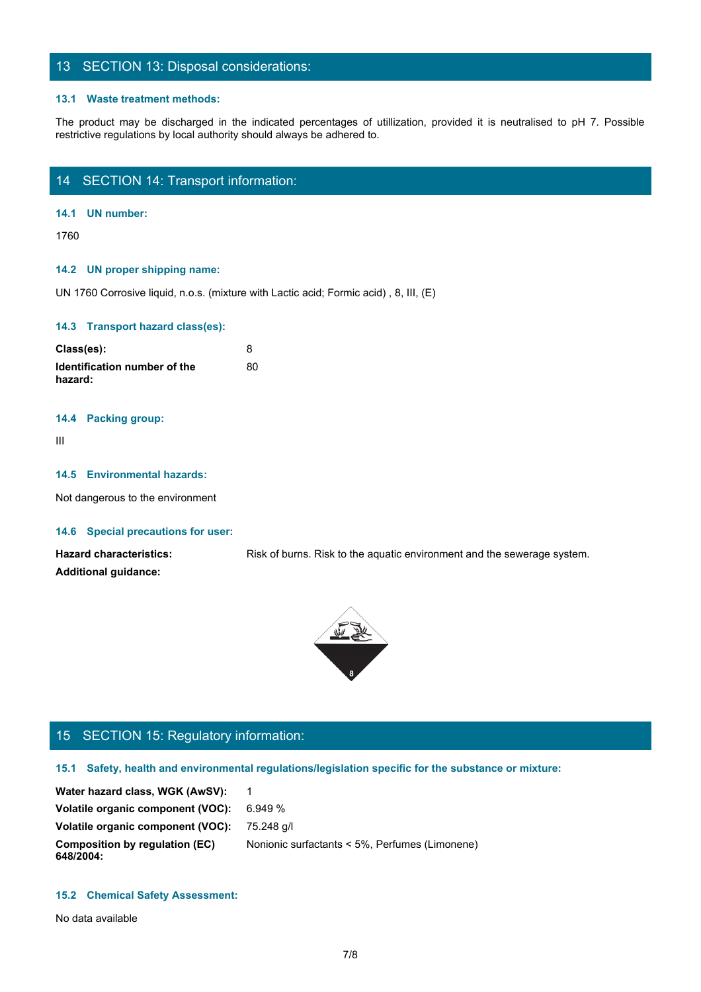## 13 SECTION 13: Disposal considerations:

#### **13.1 Waste treatment methods:**

The product may be discharged in the indicated percentages of utillization, provided it is neutralised to pH 7. Possible restrictive regulations by local authority should always be adhered to.<br>The product may be discharged restrictive regulations by local authority should always be adhered to.

## 14 SECTION 14: Transport information:

#### **14.1 UN number:**

1760

#### **14.2 UN proper shipping name:**

UN 1760 Corrosive liquid, n.o.s. (mixture with Lactic acid; Formic acid) , 8, III, (E)

#### **14.3 Transport hazard class(es):**

| Class(es):                              |    |
|-----------------------------------------|----|
| Identification number of the<br>hazard: | 80 |

#### **14.4 Packing group:**

III and a structure of the structure

#### **14.5 Environmental hazards:**

Not dangerous to the environment

#### **14.6 Special precautions for user:**

Hazard characteristics: Risk of burns. Risk to the aquatic environment and the sewerage system. **Additional guidance:**



## 15 SECTION 15: Regulatory information:

#### **15.1 Safety, health and environmental regulations/legislation specific for the substance or mixture:**

Water hazard class, WGK (AwSV): 1 **Volatile organic component (VOC):** 6.949 % **Volatile organic component (VOC):** 75.248 g/l **Composition by regulation (EC) 648/2004:** Nonionic surfactants < 5%, Perfumes (Limonene)

#### **15.2 Chemical Safety Assessment:**

No data available